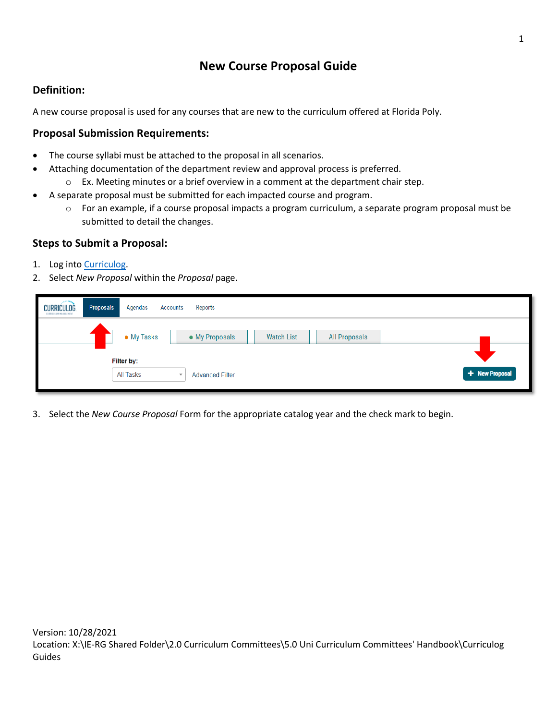## **New Course Proposal Guide**

## **Definition:**

A new course proposal is used for any courses that are new to the curriculum offered at Florida Poly.

## **Proposal Submission Requirements:**

- The course syllabi must be attached to the proposal in all scenarios.
- Attaching documentation of the department review and approval process is preferred.
	- $\circ$  Ex. Meeting minutes or a brief overview in a comment at the department chair step.
- A separate proposal must be submitted for each impacted course and program.
	- o For an example, if a course proposal impacts a program curriculum, a separate program proposal must be submitted to detail the changes.

## **Steps to Submit a Proposal:**

- 1. Log into [Curriculog.](https://floridapolytechnic.curriculog.com/)
- 2. Select *New Proposal* within the *Proposal* page.

| <b>CURRICULOG</b><br>CORRICOLUM MANAGEMENT | Proposals<br>Agendas<br>Reports<br><b>Accounts</b>                        |                |
|--------------------------------------------|---------------------------------------------------------------------------|----------------|
|                                            | • My Tasks<br><b>Watch List</b><br>• My Proposals<br><b>All Proposals</b> |                |
|                                            | Filter by:                                                                |                |
|                                            | All Tasks<br><b>Advanced Filter</b>                                       | + New Proposal |

3. Select the *New Course Proposal* Form for the appropriate catalog year and the check mark to begin.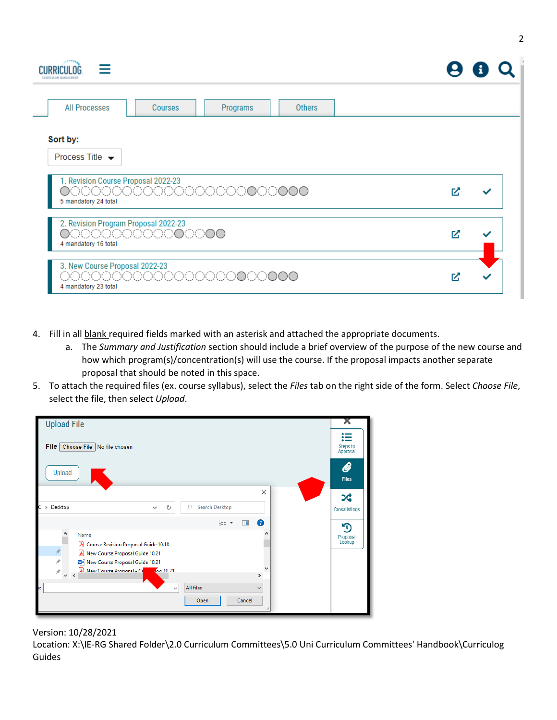| <b>CURRICULOG</b><br>CORRICOLUM MANAGEMENT                                      |                          |          |               |    |  |
|---------------------------------------------------------------------------------|--------------------------|----------|---------------|----|--|
| <b>All Processes</b>                                                            | Courses                  | Programs | <b>Others</b> |    |  |
| Sort by:<br>Process Title $\rightarrow$                                         |                          |          |               |    |  |
| 1. Revision Course Proposal 2022-23<br>5 mandatory 24 total                     | 000000000000000000000000 |          |               | M  |  |
| 2. Revision Program Proposal 2022-23<br>000000000000000<br>4 mandatory 16 total |                          |          |               | M  |  |
| 3. New Course Proposal 2022-23<br>4 mandatory 23 total                          | 0000000000000000000000   |          |               | Γ. |  |

- 4. Fill in all blank required fields marked with an asterisk and attached the appropriate documents.
	- a. The *Summary and Justification* section should include a brief overview of the purpose of the new course and how which program(s)/concentration(s) will use the course. If the proposal impacts another separate proposal that should be noted in this space.
- 5. To attach the required files (ex. course syllabus), select the *Files* tab on the right side of the form. Select *Choose File*, select the file, then select *Upload*.

| <b>Upload File</b>                                                                                                                                                                                                                                                                                           | х                    |
|--------------------------------------------------------------------------------------------------------------------------------------------------------------------------------------------------------------------------------------------------------------------------------------------------------------|----------------------|
| File Choose File No file chosen                                                                                                                                                                                                                                                                              | Steps to<br>Approval |
| Upload                                                                                                                                                                                                                                                                                                       | Ø<br><b>Files</b>    |
| $\times$<br>C<br>Search Desktop<br>Desktop<br>Q<br>Ō<br>$\,$<br>$\checkmark$                                                                                                                                                                                                                                 | ぷ<br>Crosslistings   |
| 胆 ▼<br>$\bullet$<br>m                                                                                                                                                                                                                                                                                        | শ                    |
| ٨<br>Name<br>国<br>Course Revision Proposal Guide 10.18<br>$\mathcal{R}$<br>A New Course Proposal Guide 10.21<br>À<br>New Course Proposal Guide 10.21<br><b>A</b> New Course Proposal - Ci<br>$100 10.21$<br>À.<br>$\leq$<br>$\mathcal{P}$<br>$\mathbf{v}$<br>All files<br>$\checkmark$<br>$\checkmark$<br>ř. | Proposal<br>Lookup   |
| Cancel<br>Open<br>d.                                                                                                                                                                                                                                                                                         |                      |

Version: 10/28/2021

Location: X:\IE-RG Shared Folder\2.0 Curriculum Committees\5.0 Uni Curriculum Committees' Handbook\Curriculog Guides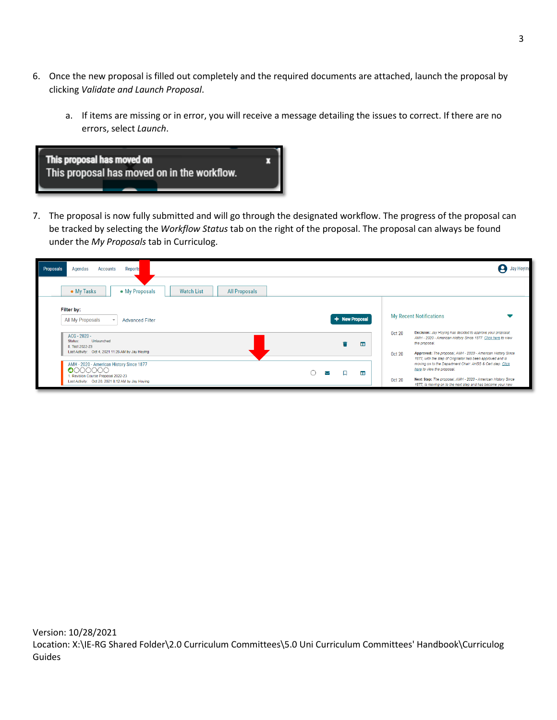- 6. Once the new proposal is filled out completely and the required documents are attached, launch the proposal by clicking *Validate and Launch Proposal*.
	- a. If items are missing or in error, you will receive a message detailing the issues to correct. If there are no errors, select *Launch*.



7. The proposal is now fully submitted and will go through the designated workflow. The progress of the proposal can be tracked by selecting the *Workflow Status* tab on the right of the proposal. The proposal can always be found under the *My Proposals* tab in Curriculog.

| Reports<br>Proposals<br>Agendas<br>Accounts                                                        |                | <b>Jay Hoying</b>                                                                                                                                                                                        |
|----------------------------------------------------------------------------------------------------|----------------|----------------------------------------------------------------------------------------------------------------------------------------------------------------------------------------------------------|
| • My Tasks<br>• My Proposals<br><b>Watch List</b><br><b>All Proposals</b>                          |                |                                                                                                                                                                                                          |
| Filter by:<br>All My Proposals<br><b>Advanced Filter</b>                                           | + New Proposal | <b>My Recent Notifications</b>                                                                                                                                                                           |
| ACG - 2020 -<br>Unlaunched<br>Status:<br>8. Test 2022-23                                           | ш              | Decision: Jay Hoying has decided to approve your proposal,<br><b>Oct 20</b><br>AMH - 2020 - American History Since 1877. Click here to view<br>the proposal.                                             |
| Last Activity: Oct 4, 2021 11:26 AM by Jay Hoying<br>AMH - 2020 - American History Since 1877      |                | Approved: The proposal, AMH - 2020 - American History Since<br><b>Oct 20</b><br>1877, with the step of Originator has been approved and is<br>moving on to the Department Chair: AHSS & Cert step. Click |
| 0000000<br>. Revision Course Proposal 2022-23<br>Last Activity: Oct 20, 2021 8:12 AM by Jay Hoying | ▥<br>↜         | here to view the proposal.<br>Next Step: The proposal, AMH - 2020 - American History Since<br><b>Oct 20</b><br>1877, is moving on to the next step and has become your new                               |